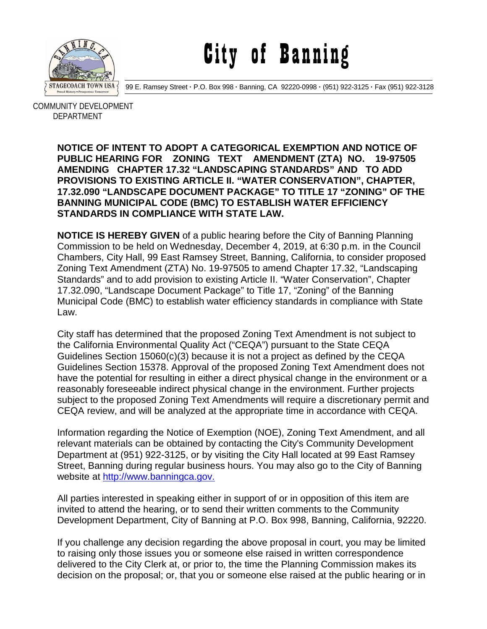

City of Banning

99 E. Ramsey Street **·** P.O. Box 998 **·** Banning, CA 92220-0998 **·** (951) 922-3125 **·** Fax (951) 922-3128

 COMMUNITY DEVELOPMENT DEPARTMENT

> **NOTICE OF INTENT TO ADOPT A CATEGORICAL EXEMPTION AND NOTICE OF PUBLIC HEARING FOR ZONING TEXT AMENDMENT (ZTA) NO. 19-97505 AMENDING CHAPTER 17.32 "LANDSCAPING STANDARDS" AND TO ADD PROVISIONS TO EXISTING ARTICLE II. "WATER CONSERVATION", CHAPTER, 17.32.090 "LANDSCAPE DOCUMENT PACKAGE" TO TITLE 17 "ZONING" OF THE BANNING MUNICIPAL CODE (BMC) TO ESTABLISH WATER EFFICIENCY STANDARDS IN COMPLIANCE WITH STATE LAW.**

> **NOTICE IS HEREBY GIVEN** of a public hearing before the City of Banning Planning Commission to be held on Wednesday, December 4, 2019, at 6:30 p.m. in the Council Chambers, City Hall, 99 East Ramsey Street, Banning, California, to consider proposed Zoning Text Amendment (ZTA) No. 19-97505 to amend Chapter 17.32, "Landscaping Standards" and to add provision to existing Article II. "Water Conservation", Chapter 17.32.090, "Landscape Document Package" to Title 17, "Zoning" of the Banning Municipal Code (BMC) to establish water efficiency standards in compliance with State Law.

> City staff has determined that the proposed Zoning Text Amendment is not subject to the California Environmental Quality Act ("CEQA") pursuant to the State CEQA Guidelines Section 15060(c)(3) because it is not a project as defined by the CEQA Guidelines Section 15378. Approval of the proposed Zoning Text Amendment does not have the potential for resulting in either a direct physical change in the environment or a reasonably foreseeable indirect physical change in the environment. Further projects subject to the proposed Zoning Text Amendments will require a discretionary permit and CEQA review, and will be analyzed at the appropriate time in accordance with CEQA.

> Information regarding the Notice of Exemption (NOE), Zoning Text Amendment, and all relevant materials can be obtained by contacting the City's Community Development Department at (951) 922-3125, or by visiting the City Hall located at 99 East Ramsey Street, Banning during regular business hours. You may also go to the City of Banning website at [http://www.banningca.gov.](http://www.banningca.gov./)

> All parties interested in speaking either in support of or in opposition of this item are invited to attend the hearing, or to send their written comments to the Community Development Department, City of Banning at P.O. Box 998, Banning, California, 92220.

> If you challenge any decision regarding the above proposal in court, you may be limited to raising only those issues you or someone else raised in written correspondence delivered to the City Clerk at, or prior to, the time the Planning Commission makes its decision on the proposal; or, that you or someone else raised at the public hearing or in